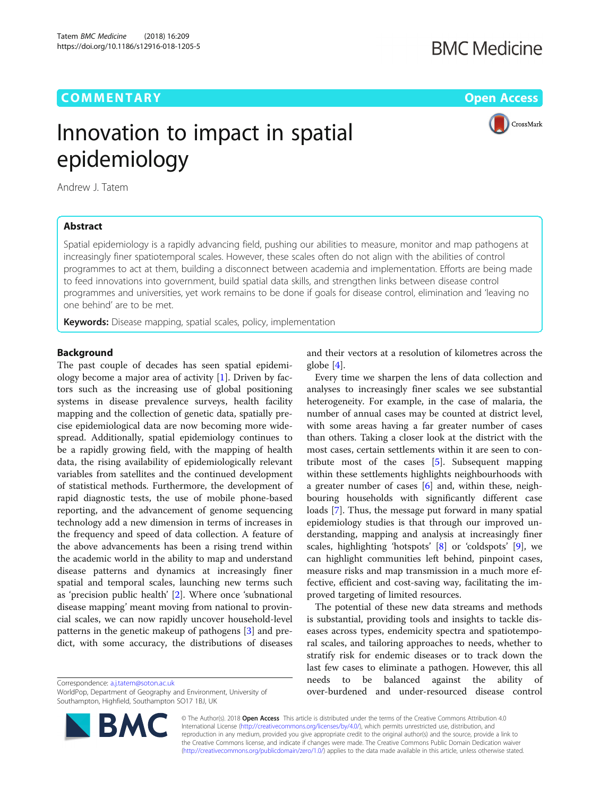## **COMMENTARY COMMENTARY Open Access**

CrossMark

# Innovation to impact in spatial epidemiology

Andrew J. Tatem

## Abstract

Spatial epidemiology is a rapidly advancing field, pushing our abilities to measure, monitor and map pathogens at increasingly finer spatiotemporal scales. However, these scales often do not align with the abilities of control programmes to act at them, building a disconnect between academia and implementation. Efforts are being made to feed innovations into government, build spatial data skills, and strengthen links between disease control programmes and universities, yet work remains to be done if goals for disease control, elimination and 'leaving no one behind' are to be met.

**Keywords:** Disease mapping, spatial scales, policy, implementation

## **Background**

The past couple of decades has seen spatial epidemiology become a major area of activity [\[1](#page-1-0)]. Driven by factors such as the increasing use of global positioning systems in disease prevalence surveys, health facility mapping and the collection of genetic data, spatially precise epidemiological data are now becoming more widespread. Additionally, spatial epidemiology continues to be a rapidly growing field, with the mapping of health data, the rising availability of epidemiologically relevant variables from satellites and the continued development of statistical methods. Furthermore, the development of rapid diagnostic tests, the use of mobile phone-based reporting, and the advancement of genome sequencing technology add a new dimension in terms of increases in the frequency and speed of data collection. A feature of the above advancements has been a rising trend within the academic world in the ability to map and understand disease patterns and dynamics at increasingly finer spatial and temporal scales, launching new terms such as 'precision public health' [[2\]](#page-1-0). Where once 'subnational disease mapping' meant moving from national to provincial scales, we can now rapidly uncover household-level patterns in the genetic makeup of pathogens [[3\]](#page-2-0) and predict, with some accuracy, the distributions of diseases

Correspondence: [a.j.tatem@soton.ac.uk](mailto:a.j.tatem@soton.ac.uk)

WorldPop, Department of Geography and Environment, University of Southampton, Highfield, Southampton SO17 1BJ, UK



and their vectors at a resolution of kilometres across the globe [[4\]](#page-2-0).

Every time we sharpen the lens of data collection and analyses to increasingly finer scales we see substantial heterogeneity. For example, in the case of malaria, the number of annual cases may be counted at district level, with some areas having a far greater number of cases than others. Taking a closer look at the district with the most cases, certain settlements within it are seen to contribute most of the cases [[5\]](#page-2-0). Subsequent mapping within these settlements highlights neighbourhoods with a greater number of cases [\[6\]](#page-2-0) and, within these, neighbouring households with significantly different case loads [\[7\]](#page-2-0). Thus, the message put forward in many spatial epidemiology studies is that through our improved understanding, mapping and analysis at increasingly finer scales, highlighting 'hotspots' [[8\]](#page-2-0) or 'coldspots' [\[9](#page-2-0)], we can highlight communities left behind, pinpoint cases, measure risks and map transmission in a much more effective, efficient and cost-saving way, facilitating the improved targeting of limited resources.

The potential of these new data streams and methods is substantial, providing tools and insights to tackle diseases across types, endemicity spectra and spatiotemporal scales, and tailoring approaches to needs, whether to stratify risk for endemic diseases or to track down the last few cases to eliminate a pathogen. However, this all needs to be balanced against the ability of over-burdened and under-resourced disease control

© The Author(s). 2018 Open Access This article is distributed under the terms of the Creative Commons Attribution 4.0 International License [\(http://creativecommons.org/licenses/by/4.0/](http://creativecommons.org/licenses/by/4.0/)), which permits unrestricted use, distribution, and reproduction in any medium, provided you give appropriate credit to the original author(s) and the source, provide a link to the Creative Commons license, and indicate if changes were made. The Creative Commons Public Domain Dedication waiver [\(http://creativecommons.org/publicdomain/zero/1.0/](http://creativecommons.org/publicdomain/zero/1.0/)) applies to the data made available in this article, unless otherwise stated.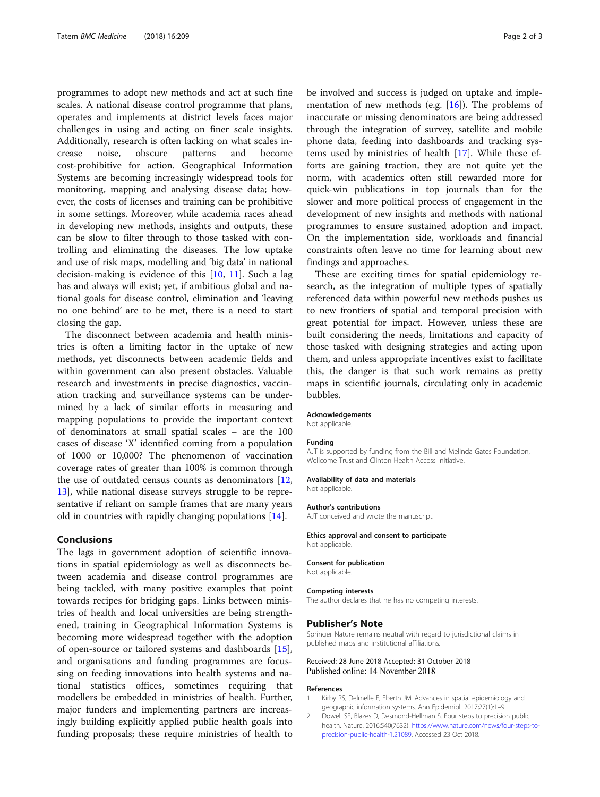<span id="page-1-0"></span>programmes to adopt new methods and act at such fine scales. A national disease control programme that plans, operates and implements at district levels faces major challenges in using and acting on finer scale insights. Additionally, research is often lacking on what scales increase noise, obscure patterns and become cost-prohibitive for action. Geographical Information Systems are becoming increasingly widespread tools for monitoring, mapping and analysing disease data; however, the costs of licenses and training can be prohibitive in some settings. Moreover, while academia races ahead in developing new methods, insights and outputs, these can be slow to filter through to those tasked with controlling and eliminating the diseases. The low uptake and use of risk maps, modelling and 'big data' in national decision-making is evidence of this [[10](#page-2-0), [11](#page-2-0)]. Such a lag has and always will exist; yet, if ambitious global and national goals for disease control, elimination and 'leaving no one behind' are to be met, there is a need to start closing the gap.

The disconnect between academia and health ministries is often a limiting factor in the uptake of new methods, yet disconnects between academic fields and within government can also present obstacles. Valuable research and investments in precise diagnostics, vaccination tracking and surveillance systems can be undermined by a lack of similar efforts in measuring and mapping populations to provide the important context of denominators at small spatial scales – are the 100 cases of disease 'X' identified coming from a population of 1000 or 10,000? The phenomenon of vaccination coverage rates of greater than 100% is common through the use of outdated census counts as denominators [[12](#page-2-0), [13\]](#page-2-0), while national disease surveys struggle to be representative if reliant on sample frames that are many years old in countries with rapidly changing populations [[14\]](#page-2-0).

## Conclusions

The lags in government adoption of scientific innovations in spatial epidemiology as well as disconnects between academia and disease control programmes are being tackled, with many positive examples that point towards recipes for bridging gaps. Links between ministries of health and local universities are being strengthened, training in Geographical Information Systems is becoming more widespread together with the adoption of open-source or tailored systems and dashboards [\[15](#page-2-0)], and organisations and funding programmes are focussing on feeding innovations into health systems and national statistics offices, sometimes requiring that modellers be embedded in ministries of health. Further, major funders and implementing partners are increasingly building explicitly applied public health goals into funding proposals; these require ministries of health to

be involved and success is judged on uptake and implementation of new methods (e.g.  $[16]$ ). The problems of inaccurate or missing denominators are being addressed through the integration of survey, satellite and mobile phone data, feeding into dashboards and tracking systems used by ministries of health [\[17](#page-2-0)]. While these efforts are gaining traction, they are not quite yet the norm, with academics often still rewarded more for quick-win publications in top journals than for the slower and more political process of engagement in the development of new insights and methods with national programmes to ensure sustained adoption and impact. On the implementation side, workloads and financial constraints often leave no time for learning about new findings and approaches.

These are exciting times for spatial epidemiology research, as the integration of multiple types of spatially referenced data within powerful new methods pushes us to new frontiers of spatial and temporal precision with great potential for impact. However, unless these are built considering the needs, limitations and capacity of those tasked with designing strategies and acting upon them, and unless appropriate incentives exist to facilitate this, the danger is that such work remains as pretty maps in scientific journals, circulating only in academic bubbles.

#### Acknowledgements

Not applicable.

#### Funding

AJT is supported by funding from the Bill and Melinda Gates Foundation, Wellcome Trust and Clinton Health Access Initiative.

#### Availability of data and materials

Not applicable.

#### Author's contributions

AJT conceived and wrote the manuscript.

#### Ethics approval and consent to participate Not applicable.

Consent for publication Not applicable.

#### Competing interests

The author declares that he has no competing interests.

#### Publisher's Note

Springer Nature remains neutral with regard to jurisdictional claims in published maps and institutional affiliations.

#### Received: 28 June 2018 Accepted: 31 October 2018 Published online: 14 November 2018

#### References

- 1. Kirby RS, Delmelle E, Eberth JM. Advances in spatial epidemiology and geographic information systems. Ann Epidemiol. 2017;27(1):1–9.
- 2. Dowell SF, Blazes D, Desmond-Hellman S. Four steps to precision public health. Nature. 2016;540(7632). [https://www.nature.com/news/four-steps-to](https://www.nature.com/news/four-steps-to-precision-public-health-1.21089)[precision-public-health-1.21089.](https://www.nature.com/news/four-steps-to-precision-public-health-1.21089) Accessed 23 Oct 2018.